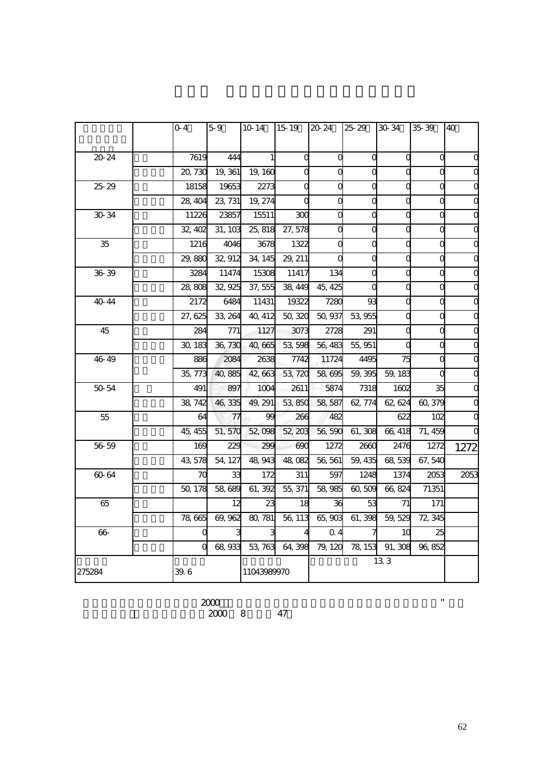|        | 04      | 5.9     | 10.14       |           | $1519$ $2024$ $2529$ |          | 30.34          | 35.39    | <b>40</b> |
|--------|---------|---------|-------------|-----------|----------------------|----------|----------------|----------|-----------|
| 20-24  | 7619    | 444     |             | $\Omega$  | C                    | $\Omega$ | C              | $\Omega$ |           |
|        | 20,730  | 19, 361 | 19, 160     |           |                      |          |                |          |           |
| 2529   | 18158   | 19653   | 2273        | C         |                      |          |                |          |           |
|        | 28, 404 | 23, 731 | 19, 274     | $\bigcap$ |                      | $\Omega$ |                |          |           |
| 30-34  | 11226   | 23857   | 15511       | 300       |                      |          |                |          |           |
|        | 32, 402 | 31, 103 | 25, 818     | 27,578    |                      |          |                |          |           |
| 35     | 1216    | 4046    | 3678        | 1322      |                      | C        | C              |          |           |
|        | 29,880  | 32, 912 | 34, 145     | 29, 211   |                      |          |                |          |           |
| 36 39  | 3284    | 11474   | 15308       | 11417     | 134                  | C        | C              |          |           |
|        | 28,808  | 32, 925 | 37,555      | 38,449    | 45, 425              |          |                |          |           |
| 40 44  | 2172    | 6484    | 11431       | 19322     | 7280                 | 93       |                |          |           |
|        | 27,625  | 33, 264 | 40, 412     | 50,320    | 50,937               | 53 955   |                |          |           |
| 45     | 284     | 771     | 1127        | 3073      | 2728                 | 291      |                |          |           |
|        | 30, 183 | 36, 730 | 40,665      | 53,598    | 56, 483              | 55, 951  |                |          |           |
| 46 49  | 886     | 2084    | 2638        | 7742      | 11724                | 4495     | 75             |          |           |
|        | 35, 773 | 40,885  | 42,663      | 53,720    | 58,695               | 59,395   | 59, 183        |          |           |
| 50 54  | 491     | 897     | 1004        | 2611      | 5874                 | 7318     | 1602           | 35       |           |
|        | 38, 742 | 46,335  | 49, 291     | 53,850    | 58, 587              | 62, 774  | 62, 624        | 60, 379  |           |
| 55     | 64      | 77      | 99          | 266       | 482                  |          | 622            | 102      |           |
|        | 45, 455 | 51, 570 | 52 098      | 52 203    | 56,590               | 61,308   | 66, 418        | 71, 459  |           |
| 56 59  | 169     | 229     | 299         | 690       | 1272                 | 2660     | 2476           | 1272     | 1272      |
|        | 43,578  | 54, 127 | 48,943      | 48,082    | 56, 561              | 59, 435  | 68 539         | 67,540   |           |
| 60-64  | $\pi$   | 33      | 172         | 311       | 597                  | 1248     | 1374           | 2053     | 2053      |
|        | 50, 178 | 58,689  | 61, 392     | 55, 371   | 58,985               | 60,509   | 66,824         | 71351    |           |
| 65     |         | 12      | 23          | 18        | 36                   | 53       | 71             | 171      |           |
|        | 78,665  | 69, 962 | 80, 781     | 56, 113   | 65,903               | 61, 398  | 59, 529        | 72, 345  |           |
| 66     |         |         |             |           | 0.4                  |          | 1 <sup>C</sup> | 25       |           |
|        |         | 68,933  | 53, 763     | 64,398    | 79, 120              | 78, 153  | 91, 308        | 96,852   |           |
| 275284 | 39. 6   |         | 11043989970 |           | 133                  |          |                |          |           |

 $\approx$  2000

$$
2000 \quad 8 \qquad 47
$$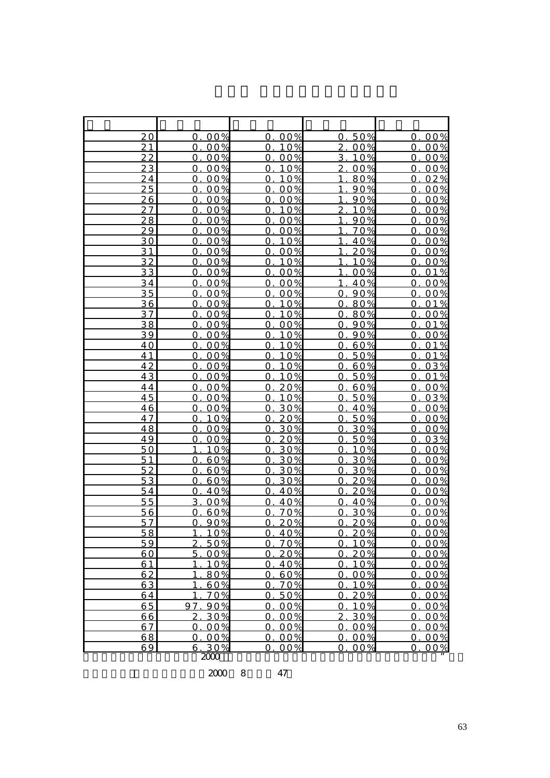| 20              | 00%<br>0.                                    | 0.00%                                    | 50%<br>0.                | 00%<br>0.               |
|-----------------|----------------------------------------------|------------------------------------------|--------------------------|-------------------------|
| 21              | 00%<br>$\Omega$ .                            | 0.10%                                    | 2.00%                    | 00%<br>0.               |
| 22              | 0.00%                                        | 0.00%                                    | 3.10%                    | 00%<br>0.               |
| 23              | 00%<br>$\Omega$ .                            | 10%<br>Ο.                                | 2.00%                    | 00%<br>0.               |
| 24              | 00%<br>$\Omega$ .                            | 10%<br>$\Omega$                          | 80%<br>1                 | 02%<br>0.               |
| 25              | 00%<br>$\Omega$ .                            | 00%<br>$\Omega$                          | 1<br>90%                 | 00%<br>0.               |
| 26              | 00%<br>$\Omega$ .                            | 00%<br>$\Omega$                          | 1<br>90%                 | 00%<br>$\overline{O}$ . |
| 27              | 00%<br>$\overline{O}$ .                      | 10%<br>0.                                | $\overline{2}$ .<br>10%  | 00%<br>$\overline{0}$   |
| 28              | 00%<br>$\overline{O}$ .                      | 00%<br>$\overline{0}$                    | 90%<br>$\mathbf{1}$      | 00%<br>0.               |
| 29              | 00%<br>$\overline{0}$ .                      | 00%<br>$\overline{O}$ .                  | 70%<br>$\mathbf{1}$      | 0.00%                   |
| 30              | 00%<br>$\Omega$ .                            | 0.10%                                    | $\mathbf{1}$<br>40%      | 0.00%                   |
| 31              | 00%<br>0.                                    | 00%<br>0.                                | $\mathbf{1}$<br>20%      | 00%<br>0.               |
| $\overline{32}$ | 00%<br>0.                                    | 0.10%                                    | $\mathbf{1}$<br>10%      | 00%<br>0.               |
| 33              | 00%<br>$\Omega$                              | $\overline{O}$ .<br>00%                  | $\mathbf{1}$<br>00%      | 01%<br>0.               |
| 34              | 00%<br>$\Omega$                              | 0.00%                                    | 40%                      | 00%<br>0.               |
| 35              | 00%<br>$\Omega$                              | 00%<br>0.                                | 90%<br>$\Omega$          | 00%<br>0.               |
| 36              | 00%<br>$\overline{O}$ .                      | 0.10%                                    | 80%<br>$\overline{O}$ .  | 0.01%                   |
| 37              | 00%<br>$\Omega$ .                            | 10%<br>0.                                | 80%<br>$\Omega$ .        | 0.00%                   |
| 38              | 0.00%                                        | 0.00%                                    | 0.90%                    | 0.01%                   |
| 39              | 00%<br>Ο.                                    | 10%<br>$\Omega$ .                        | 90%<br>Ο.                | 00%<br>Ο.               |
| $\overline{40}$ | 00%<br>$\overline{0}$ .                      | 0.10%                                    | 60%<br>0.                | 01%<br>0.               |
| 41              | 00%<br>0.                                    | 10%<br>$\Omega$                          | 50%<br>$\Omega$          | 01%<br>$\mathbf{O}$     |
| 42              | 00%<br>$\Omega$ .                            | 10%<br>$\overline{0}$                    | 60%<br>Ω.                | 03%<br>0.               |
| $\overline{43}$ | 00%<br>$\Omega$ .                            | 10%<br>$\mathbf{O}$                      | 50%<br>$\Omega$ .        | 01%<br>$\mathbf{O}$     |
| 44              | 00%<br>$\overline{O}$                        | 20%<br>$\overline{0}$                    | 60%<br>$\overline{O}$ .  | 00%<br>$\overline{0}$ . |
| 45              | 00%<br>$\overline{0}$ .                      | 10%<br>$\overline{0}$                    | 50%<br>$\overline{O}$ .  | 03%<br>0.               |
| 46              | 00%<br>0.                                    | 30%<br>$\overline{O}$                    | 40%<br>0.                | 0.00%                   |
| 47<br>48        | 10%<br>$\Omega$ .<br>00%<br>$\overline{O}$ . | 20%<br>$\Omega$<br>30%<br>$\overline{O}$ | 50%<br>$\Omega$ .<br>30% | 00%<br>0.<br>00%<br>0.  |
| 49              | 00%<br>$\overline{O}$ .                      | 20%                                      | 0.<br>50%<br>Ω.          | 03%                     |
| 50              | 10%                                          | 0.<br>30%<br>$\overline{O}$              | 10%<br>O                 | 0.<br>0.<br>00%         |
| 51              | 60%<br>0                                     | 30%<br>$\overline{O}$ .                  | 30%<br>$\Omega$          | 00%<br>$\Omega$ .       |
| 52              | 60%<br>$\Omega$                              | 30%<br>$\mathbf{O}$                      | 30%<br>$\Omega$          | 00%<br>0.               |
| 53              | 60%<br>$\overline{O}$ .                      | 30%<br>Ο.                                | 20%<br>O                 | 0.00%                   |
| 54              | 40%<br>$\Omega$ .                            | 40%<br>$\mathbf{O}$                      | 20%<br>0.                | 0.00%                   |
| 55              | 00%<br>3.                                    | 40%<br>Ω.                                | 40%<br>Ω.                | 0.00%                   |
| 56              | 60%<br>0                                     | 70%<br>$\Omega$                          | 30%<br>0                 | 00%<br>$\Omega$ .       |
| 57              | 90%<br>$\Omega$                              | 20%<br>0.                                | 20%<br>Ω.                | 00%<br>0.               |
| 58              | 10%                                          | O.<br>40%                                | Ω<br>20%                 | <u>O.</u><br>00%        |
| 59              | 50%                                          | 0.70%                                    | 10%<br>Ω                 | 0.00%                   |
| 60              | 00%<br>5.                                    | 20%<br>0                                 | 20%<br>Ω                 | 00%<br>$\overline{O}$   |
| 61              | 10%                                          | 40%<br>0                                 | 10%<br>0                 | 00%<br>0.               |
| 62              | 80%<br>1                                     | 60%<br>$\overline{0}$                    | 00%<br>$\Omega$          | 00%<br><u>O.</u>        |
| 63              | 60%                                          | 70%<br>0                                 | 10%<br>0                 | 00%<br>$\overline{O}$   |
| 64              | 70%                                          | 50%<br>0.                                | 20%<br>О.                | 00%<br>О.               |
| 65              | 90%<br>97                                    | 00%<br>O.                                | 10%<br>0.                | 00%<br>0.               |
| 66              | 30%<br>2.                                    | 00%<br>0                                 | 30%<br>$\mathbf{2}$ .    | 00%<br>$\Omega$         |
| 67              | 00%<br>Ω.                                    | 00%<br>0                                 | 00%<br>Ω.                | 00%<br>$\Omega$         |
| 68              | 00%<br>Ω.                                    | 00%<br>$\Omega$                          | 00%<br>$\Omega$          | 00%<br>$\Omega$         |
| 69              | 30%<br>6.                                    | 0.00%                                    | 0.00%                    | 0.00%                   |
|                 | 2000                                         |                                          |                          |                         |

休基金季刊」,第一卷第一期,2000 8 月,頁 47。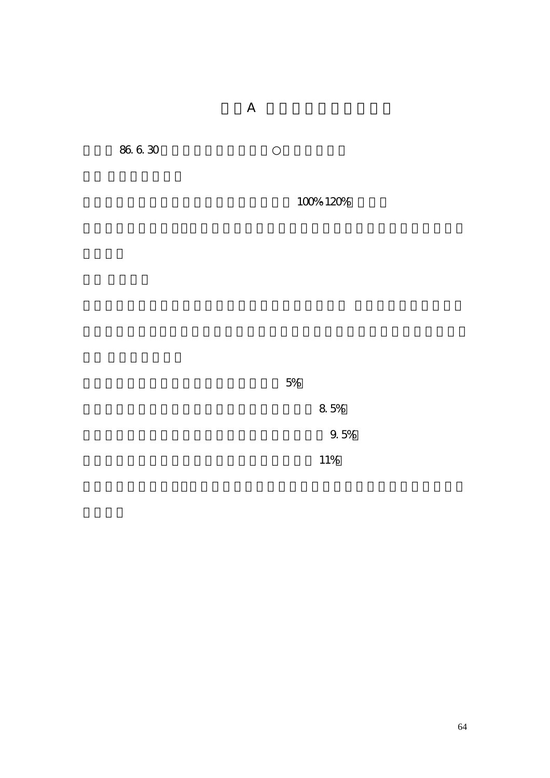$\overline{A}$ 

86.6.30

 $100\%~120\%$ 

 $5%$ 

 $8,5\%$ 

**9.5%** 

 $11\%$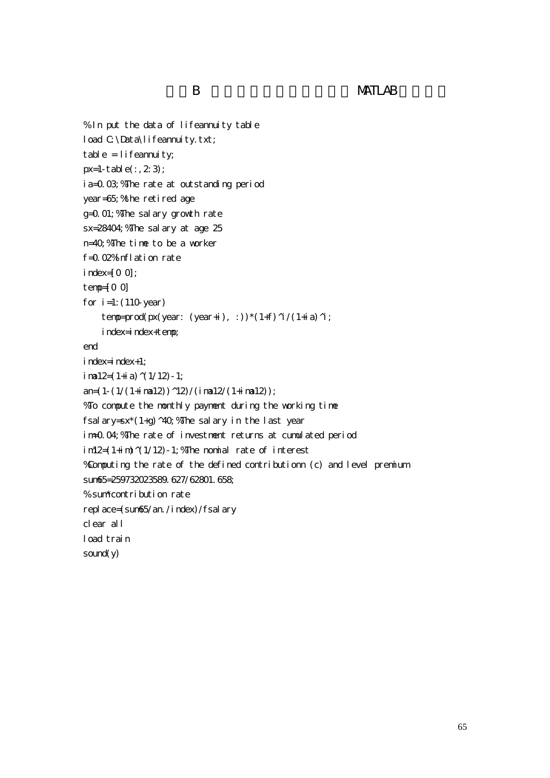```
% In put the data of lifeannuity table
load C:\Data\lifeannuity.txt;
table = lifeannuity;
px=1-table(:,2;3);ia=0.03;%The rate at outstanding period
year=65;%the retired age 
g=0.01;%The salary growth rate
sx=28404;%The salary at age 25
n=40;%The time to be a worker
f=0.02% inflation rate
index=[0 0]; 
temp=[0 0]
for i=1: (110-year)
    temp=prod(px(year: (year+i), :))*(1+f)^i/(1+ia)^i;
     index=index+temp;
end 
index=index+1;
i na 12=(1+i)a (1/12) - 1;
an=(1-(1/(1+i \text{ rad}2))^2/2)/(i \text{ rad}2/(1+i \text{ rad}2));%To compute the monthly payment during the working time
fsalary=sx*(1+g)^40; "The salary in the last year
im=0.04;%The rate of investment returns at cumulated period 
im12=(1+i\text{ m})(1/12)-1; %The nomial rate of interest
%Computing the rate of the defined contributionn (c) and level premium
sum65=259732023589.627/62801.658;
% sum*contribution rate 
replace=(sum65/an./index)/fsalary
clear all 
load train
sound(y)
```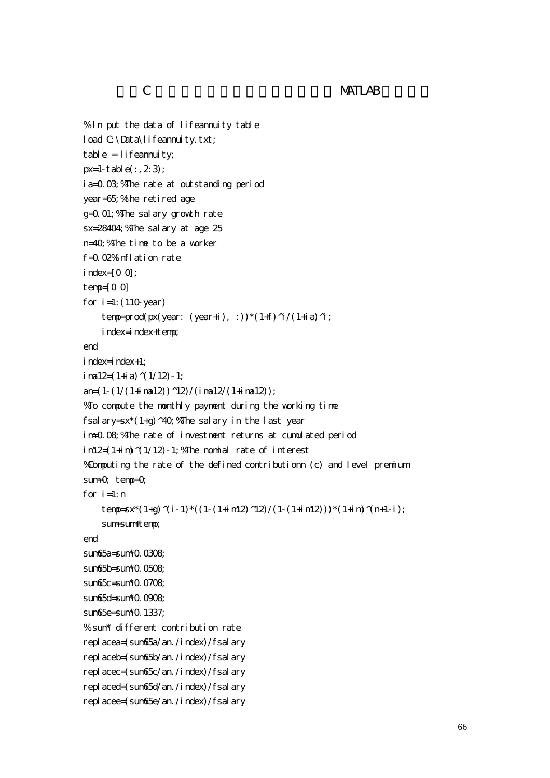## C MATLAB

```
% In put the data of lifeannuity table
load C:\Data\lifeannuity.txt;
table = lifeamuity;px=1-table(:, 2:3);
ia=0.03;%The rate at outstanding period
year=65;%the retired age 
g=0.01;%The salary growth rate
sx=28404;%The salary at age 25
n=40; Whe time to be a worker
f=0.02% inflation rate
index=[0 0];
temp=[0 0]
for i=1: (110-year)
    temp=prod(px(year: (year+i), :))*(1+f)^i/(1+ia)^i;
     index=index+temp;
end 
index=index+1;
i na 12=(1+i)a (1/12)-1;
an=(1-(1/(1+i \text{ rad}2))^2/2)/(i \text{ rad}2/(1+i \text{ rad}2));%To compute the monthly payment during the working time
fsalary=sx*(1+g)^40; "The salary in the last year
im=0.08;%The rate of investment returns at cumulated period 
im2=(1+i\text{ m})(1/12)-1; %The nomial rate of interest
%Computing the rate of the defined contributionn (c) and level premium
sum=0; temp=0;
for i=1: n
    temp=sx*(1+g)^(i-1)*((1-(1+im12)^12)/(1-(1+im12)))*(1+im)^(n+1-i);
    sum+sum+temp;
end 
sun65a = sun10.0308sum65b=sum<sup>*</sup>0.0508
sum65c=sum*0.0708;
sum65d=sum*0.0908;
sum65e=sum(0.1337)% sum* different contribution rate
replacea=(sum65a/an./index)/fsalary 
replaceb=(sum65b/an./index)/fsalary 
replacec=(sum65c/an./index)/fsalary 
replaced=(sum65d/an./index)/fsalary 
replacee=(sum65e/an./index)/fsalary
```